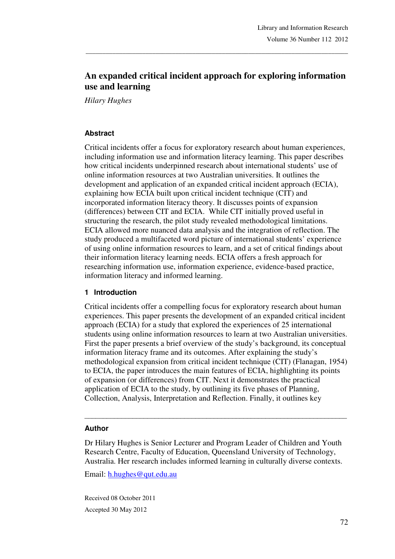# **An expanded critical incident approach for exploring information use and learning**

\_\_\_\_\_\_\_\_\_\_\_\_\_\_\_\_\_\_\_\_\_\_\_\_\_\_\_\_\_\_\_\_\_\_\_\_\_\_\_\_\_\_\_\_\_\_\_\_\_\_\_\_\_\_\_\_\_\_\_\_\_\_\_\_\_\_\_\_\_\_\_\_\_\_\_\_\_\_\_

*Hilary Hughes* 

#### **Abstract**

Critical incidents offer a focus for exploratory research about human experiences, including information use and information literacy learning. This paper describes how critical incidents underpinned research about international students' use of online information resources at two Australian universities. It outlines the development and application of an expanded critical incident approach (ECIA), explaining how ECIA built upon critical incident technique (CIT) and incorporated information literacy theory. It discusses points of expansion (differences) between CIT and ECIA. While CIT initially proved useful in structuring the research, the pilot study revealed methodological limitations. ECIA allowed more nuanced data analysis and the integration of reflection. The study produced a multifaceted word picture of international students' experience of using online information resources to learn, and a set of critical findings about their information literacy learning needs. ECIA offers a fresh approach for researching information use, information experience, evidence-based practice, information literacy and informed learning.

#### **1 Introduction**

Critical incidents offer a compelling focus for exploratory research about human experiences. This paper presents the development of an expanded critical incident approach (ECIA) for a study that explored the experiences of 25 international students using online information resources to learn at two Australian universities. First the paper presents a brief overview of the study's background, its conceptual information literacy frame and its outcomes. After explaining the study's methodological expansion from critical incident technique (CIT) (Flanagan, 1954) to ECIA, the paper introduces the main features of ECIA, highlighting its points of expansion (or differences) from CIT. Next it demonstrates the practical application of ECIA to the study, by outlining its five phases of Planning, Collection, Analysis, Interpretation and Reflection. Finally, it outlines key

#### **Author**

Dr Hilary Hughes is Senior Lecturer and Program Leader of Children and Youth Research Centre, Faculty of Education, Queensland University of Technology, Australia. Her research includes informed learning in culturally diverse contexts.

\_\_\_\_\_\_\_\_\_\_\_\_\_\_\_\_\_\_\_\_\_\_\_\_\_\_\_\_\_\_\_\_\_\_\_\_\_\_\_\_\_\_\_\_\_\_\_\_\_\_\_\_\_\_\_\_\_\_\_\_\_\_\_\_\_\_\_\_\_\_\_

Email: h.hughes@qut.edu.au

Received 08 October 2011 Accepted 30 May 2012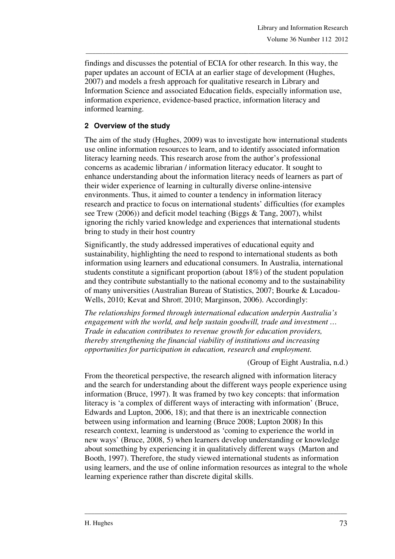findings and discusses the potential of ECIA for other research. In this way, the paper updates an account of ECIA at an earlier stage of development (Hughes, 2007) and models a fresh approach for qualitative research in Library and Information Science and associated Education fields, especially information use, information experience, evidence-based practice, information literacy and informed learning.

\_\_\_\_\_\_\_\_\_\_\_\_\_\_\_\_\_\_\_\_\_\_\_\_\_\_\_\_\_\_\_\_\_\_\_\_\_\_\_\_\_\_\_\_\_\_\_\_\_\_\_\_\_\_\_\_\_\_\_\_\_\_\_\_\_\_\_\_\_\_\_\_\_\_\_\_\_\_\_

## **2 Overview of the study**

The aim of the study (Hughes, 2009) was to investigate how international students use online information resources to learn, and to identify associated information literacy learning needs. This research arose from the author's professional concerns as academic librarian / information literacy educator. It sought to enhance understanding about the information literacy needs of learners as part of their wider experience of learning in culturally diverse online-intensive environments. Thus, it aimed to counter a tendency in information literacy research and practice to focus on international students' difficulties (for examples see Trew (2006)) and deficit model teaching (Biggs & Tang, 2007), whilst ignoring the richly varied knowledge and experiences that international students bring to study in their host country

Significantly, the study addressed imperatives of educational equity and sustainability, highlighting the need to respond to international students as both information using learners and educational consumers. In Australia, international students constitute a significant proportion (about 18%) of the student population and they contribute substantially to the national economy and to the sustainability of many universities (Australian Bureau of Statistics, 2007; Bourke & Lucadou-Wells, 2010; Kevat and Shroff, 2010; Marginson, 2006). Accordingly:

*The relationships formed through international education underpin Australia's engagement with the world, and help sustain goodwill, trade and investment … Trade in education contributes to revenue growth for education providers, thereby strengthening the financial viability of institutions and increasing opportunities for participation in education, research and employment.* 

(Group of Eight Australia, n.d.)

From the theoretical perspective, the research aligned with information literacy and the search for understanding about the different ways people experience using information (Bruce, 1997). It was framed by two key concepts: that information literacy is 'a complex of different ways of interacting with information' (Bruce, Edwards and Lupton, 2006, 18); and that there is an inextricable connection between using information and learning (Bruce 2008; Lupton 2008) In this research context, learning is understood as 'coming to experience the world in new ways' (Bruce, 2008, 5) when learners develop understanding or knowledge about something by experiencing it in qualitatively different ways (Marton and Booth, 1997). Therefore, the study viewed international students as information using learners, and the use of online information resources as integral to the whole learning experience rather than discrete digital skills.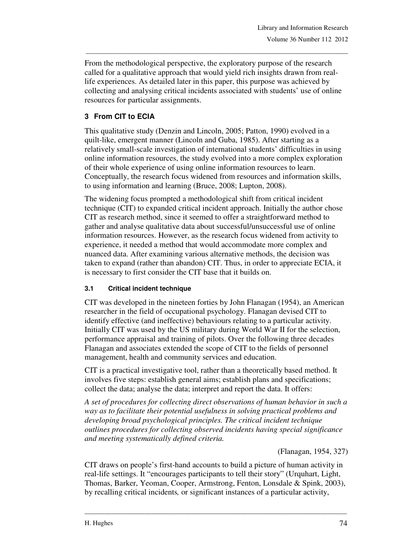From the methodological perspective, the exploratory purpose of the research called for a qualitative approach that would yield rich insights drawn from reallife experiences. As detailed later in this paper, this purpose was achieved by collecting and analysing critical incidents associated with students' use of online resources for particular assignments.

\_\_\_\_\_\_\_\_\_\_\_\_\_\_\_\_\_\_\_\_\_\_\_\_\_\_\_\_\_\_\_\_\_\_\_\_\_\_\_\_\_\_\_\_\_\_\_\_\_\_\_\_\_\_\_\_\_\_\_\_\_\_\_\_\_\_\_\_\_\_\_\_\_\_\_\_\_\_\_

## **3 From CIT to ECIA**

This qualitative study (Denzin and Lincoln, 2005; Patton, 1990) evolved in a quilt-like, emergent manner (Lincoln and Guba, 1985). After starting as a relatively small-scale investigation of international students' difficulties in using online information resources, the study evolved into a more complex exploration of their whole experience of using online information resources to learn. Conceptually, the research focus widened from resources and information skills, to using information and learning (Bruce, 2008; Lupton, 2008).

The widening focus prompted a methodological shift from critical incident technique (CIT) to expanded critical incident approach. Initially the author chose CIT as research method, since it seemed to offer a straightforward method to gather and analyse qualitative data about successful/unsuccessful use of online information resources. However, as the research focus widened from activity to experience, it needed a method that would accommodate more complex and nuanced data. After examining various alternative methods, the decision was taken to expand (rather than abandon) CIT. Thus, in order to appreciate ECIA, it is necessary to first consider the CIT base that it builds on.

#### **3.1 Critical incident technique**

CIT was developed in the nineteen forties by John Flanagan (1954), an American researcher in the field of occupational psychology. Flanagan devised CIT to identify effective (and ineffective) behaviours relating to a particular activity. Initially CIT was used by the US military during World War II for the selection, performance appraisal and training of pilots. Over the following three decades Flanagan and associates extended the scope of CIT to the fields of personnel management, health and community services and education.

CIT is a practical investigative tool, rather than a theoretically based method. It involves five steps: establish general aims; establish plans and specifications; collect the data; analyse the data; interpret and report the data. It offers:

*A set of procedures for collecting direct observations of human behavior in such a way as to facilitate their potential usefulness in solving practical problems and developing broad psychological principles. The critical incident technique outlines procedures for collecting observed incidents having special significance and meeting systematically defined criteria.* 

(Flanagan, 1954, 327)

CIT draws on people's first-hand accounts to build a picture of human activity in real-life settings. It "encourages participants to tell their story" (Urquhart, Light, Thomas, Barker, Yeoman, Cooper, Armstrong, Fenton, Lonsdale & Spink, 2003), by recalling critical incidents*,* or significant instances of a particular activity,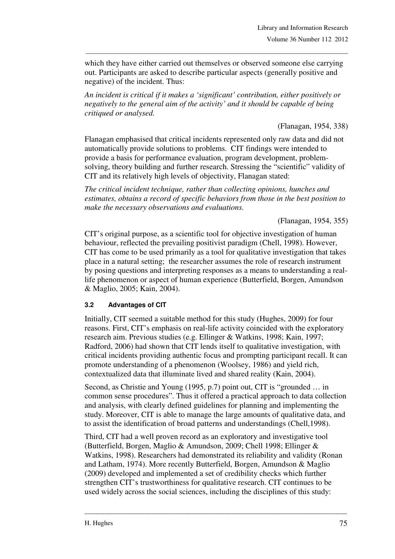which they have either carried out themselves or observed someone else carrying out. Participants are asked to describe particular aspects (generally positive and negative) of the incident. Thus:

\_\_\_\_\_\_\_\_\_\_\_\_\_\_\_\_\_\_\_\_\_\_\_\_\_\_\_\_\_\_\_\_\_\_\_\_\_\_\_\_\_\_\_\_\_\_\_\_\_\_\_\_\_\_\_\_\_\_\_\_\_\_\_\_\_\_\_\_\_\_\_\_\_\_\_\_\_\_\_

*An incident is critical if it makes a 'significant' contribution, either positively or negatively to the general aim of the activity' and it should be capable of being critiqued or analysed.* 

(Flanagan, 1954, 338)

Flanagan emphasised that critical incidents represented only raw data and did not automatically provide solutions to problems. CIT findings were intended to provide a basis for performance evaluation, program development, problemsolving, theory building and further research. Stressing the "scientific" validity of CIT and its relatively high levels of objectivity, Flanagan stated:

*The critical incident technique, rather than collecting opinions, hunches and estimates, obtains a record of specific behaviors from those in the best position to make the necessary observations and evaluations.* 

(Flanagan, 1954, 355)

CIT's original purpose, as a scientific tool for objective investigation of human behaviour, reflected the prevailing positivist paradigm (Chell, 1998). However, CIT has come to be used primarily as a tool for qualitative investigation that takes place in a natural setting; the researcher assumes the role of research instrument by posing questions and interpreting responses as a means to understanding a reallife phenomenon or aspect of human experience (Butterfield, Borgen, Amundson & Maglio, 2005; Kain, 2004).

#### **3.2 Advantages of CIT**

Initially, CIT seemed a suitable method for this study (Hughes, 2009) for four reasons. First, CIT's emphasis on real-life activity coincided with the exploratory research aim. Previous studies (e.g. Ellinger & Watkins, 1998; Kain, 1997; Radford, 2006) had shown that CIT lends itself to qualitative investigation, with critical incidents providing authentic focus and prompting participant recall. It can promote understanding of a phenomenon (Woolsey, 1986) and yield rich, contextualized data that illuminate lived and shared reality (Kain, 2004).

Second, as Christie and Young (1995, p.7) point out, CIT is "grounded … in common sense procedures". Thus it offered a practical approach to data collection and analysis, with clearly defined guidelines for planning and implementing the study. Moreover, CIT is able to manage the large amounts of qualitative data, and to assist the identification of broad patterns and understandings (Chell,1998).

Third, CIT had a well proven record as an exploratory and investigative tool (Butterfield, Borgen, Maglio & Amundson, 2009; Chell 1998; Ellinger & Watkins, 1998). Researchers had demonstrated its reliability and validity (Ronan and Latham, 1974). More recently Butterfield, Borgen, Amundson & Maglio (2009) developed and implemented a set of credibility checks which further strengthen CIT's trustworthiness for qualitative research. CIT continues to be used widely across the social sciences, including the disciplines of this study: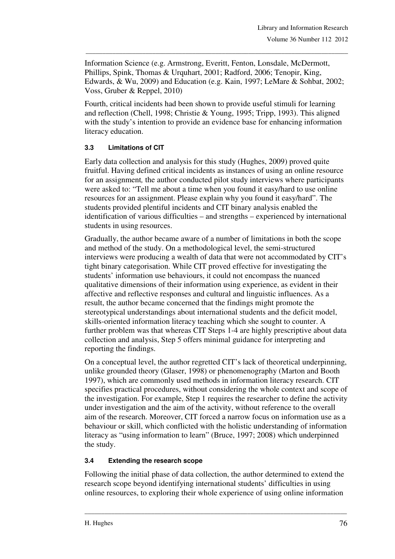Information Science (e.g. Armstrong, Everitt, Fenton, Lonsdale, McDermott, Phillips, Spink, Thomas & Urquhart, 2001; Radford, 2006; Tenopir, King, Edwards, & Wu, 2009) and Education (e.g. Kain, 1997; LeMare & Sohbat, 2002; Voss, Gruber & Reppel, 2010)

\_\_\_\_\_\_\_\_\_\_\_\_\_\_\_\_\_\_\_\_\_\_\_\_\_\_\_\_\_\_\_\_\_\_\_\_\_\_\_\_\_\_\_\_\_\_\_\_\_\_\_\_\_\_\_\_\_\_\_\_\_\_\_\_\_\_\_\_\_\_\_\_\_\_\_\_\_\_\_

Fourth, critical incidents had been shown to provide useful stimuli for learning and reflection (Chell, 1998; Christie & Young, 1995; Tripp, 1993). This aligned with the study's intention to provide an evidence base for enhancing information literacy education.

## **3.3 Limitations of CIT**

Early data collection and analysis for this study (Hughes, 2009) proved quite fruitful. Having defined critical incidents as instances of using an online resource for an assignment*,* the author conducted pilot study interviews where participants were asked to: "Tell me about a time when you found it easy/hard to use online resources for an assignment. Please explain why you found it easy/hard". The students provided plentiful incidents and CIT binary analysis enabled the identification of various difficulties – and strengths – experienced by international students in using resources.

Gradually, the author became aware of a number of limitations in both the scope and method of the study. On a methodological level, the semi-structured interviews were producing a wealth of data that were not accommodated by CIT's tight binary categorisation. While CIT proved effective for investigating the students' information use behaviours, it could not encompass the nuanced qualitative dimensions of their information using experience, as evident in their affective and reflective responses and cultural and linguistic influences. As a result, the author became concerned that the findings might promote the stereotypical understandings about international students and the deficit model, skills-oriented information literacy teaching which she sought to counter. A further problem was that whereas CIT Steps 1-4 are highly prescriptive about data collection and analysis, Step 5 offers minimal guidance for interpreting and reporting the findings.

On a conceptual level, the author regretted CIT's lack of theoretical underpinning, unlike grounded theory (Glaser, 1998) or phenomenography (Marton and Booth 1997), which are commonly used methods in information literacy research. CIT specifies practical procedures, without considering the whole context and scope of the investigation. For example, Step 1 requires the researcher to define the activity under investigation and the aim of the activity, without reference to the overall aim of the research. Moreover, CIT forced a narrow focus on information use as a behaviour or skill, which conflicted with the holistic understanding of information literacy as "using information to learn" (Bruce, 1997; 2008) which underpinned the study.

## **3.4 Extending the research scope**

Following the initial phase of data collection, the author determined to extend the research scope beyond identifying international students' difficulties in using online resources, to exploring their whole experience of using online information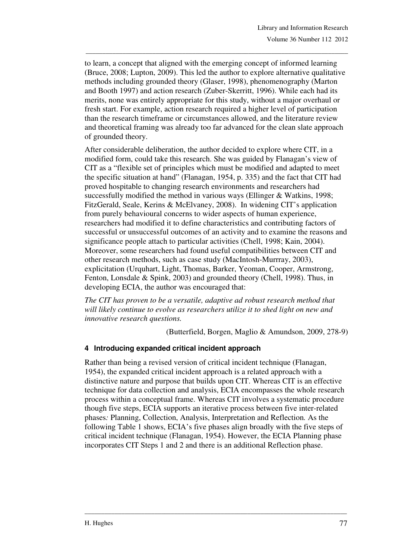to learn, a concept that aligned with the emerging concept of informed learning (Bruce, 2008; Lupton, 2009). This led the author to explore alternative qualitative methods including grounded theory (Glaser, 1998), phenomenography (Marton and Booth 1997) and action research (Zuber-Skerritt, 1996). While each had its merits, none was entirely appropriate for this study, without a major overhaul or fresh start. For example, action research required a higher level of participation than the research timeframe or circumstances allowed, and the literature review and theoretical framing was already too far advanced for the clean slate approach of grounded theory.

\_\_\_\_\_\_\_\_\_\_\_\_\_\_\_\_\_\_\_\_\_\_\_\_\_\_\_\_\_\_\_\_\_\_\_\_\_\_\_\_\_\_\_\_\_\_\_\_\_\_\_\_\_\_\_\_\_\_\_\_\_\_\_\_\_\_\_\_\_\_\_\_\_\_\_\_\_\_\_

After considerable deliberation, the author decided to explore where CIT, in a modified form, could take this research. She was guided by Flanagan's view of CIT as a "flexible set of principles which must be modified and adapted to meet the specific situation at hand" (Flanagan, 1954, p. 335) and the fact that CIT had proved hospitable to changing research environments and researchers had successfully modified the method in various ways (Ellinger & Watkins, 1998; FitzGerald, Seale, Kerins & McElvaney, 2008). In widening CIT's application from purely behavioural concerns to wider aspects of human experience, researchers had modified it to define characteristics and contributing factors of successful or unsuccessful outcomes of an activity and to examine the reasons and significance people attach to particular activities (Chell, 1998; Kain, 2004). Moreover, some researchers had found useful compatibilities between CIT and other research methods, such as case study (MacIntosh-Murrray, 2003), explicitation (Urquhart, Light, Thomas, Barker, Yeoman, Cooper, Armstrong, Fenton, Lonsdale & Spink, 2003) and grounded theory (Chell, 1998). Thus, in developing ECIA, the author was encouraged that:

*The CIT has proven to be a versatile, adaptive ad robust research method that will likely continue to evolve as researchers utilize it to shed light on new and innovative research questions.* 

(Butterfield, Borgen, Maglio & Amundson, 2009, 278-9)

#### **4 Introducing expanded critical incident approach**

Rather than being a revised version of critical incident technique (Flanagan, 1954), the expanded critical incident approach is a related approach with a distinctive nature and purpose that builds upon CIT. Whereas CIT is an effective technique for data collection and analysis, ECIA encompasses the whole research process within a conceptual frame. Whereas CIT involves a systematic procedure though five steps, ECIA supports an iterative process between five inter-related phases*:* Planning, Collection, Analysis, Interpretation and Reflection*.* As the following Table 1 shows, ECIA's five phases align broadly with the five steps of critical incident technique (Flanagan, 1954). However, the ECIA Planning phase incorporates CIT Steps 1 and 2 and there is an additional Reflection phase.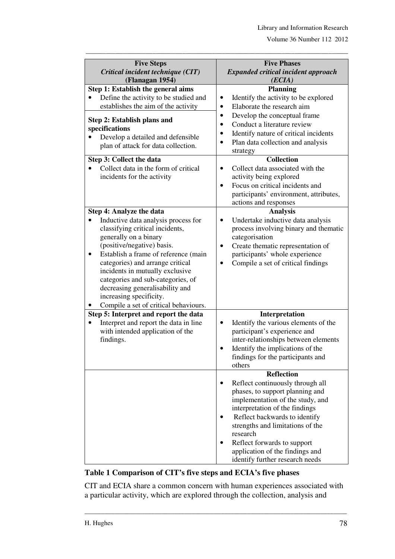| <b>Five Steps</b><br>Critical incident technique (CIT)               | <b>Five Phases</b><br><b>Expanded critical incident approach</b> |  |  |
|----------------------------------------------------------------------|------------------------------------------------------------------|--|--|
| (Flanagan 1954)                                                      | (ECIA)                                                           |  |  |
| Step 1: Establish the general aims                                   | <b>Planning</b>                                                  |  |  |
| Define the activity to be studied and                                | Identify the activity to be explored<br>$\bullet$                |  |  |
| establishes the aim of the activity                                  | Elaborate the research aim<br>$\bullet$                          |  |  |
|                                                                      | Develop the conceptual frame<br>$\bullet$                        |  |  |
| Step 2: Establish plans and                                          | Conduct a literature review                                      |  |  |
| specifications                                                       | Identify nature of critical incidents                            |  |  |
| Develop a detailed and defensible                                    | Plan data collection and analysis                                |  |  |
| plan of attack for data collection.                                  | strategy                                                         |  |  |
| Step 3: Collect the data                                             | <b>Collection</b>                                                |  |  |
| Collect data in the form of critical                                 | Collect data associated with the                                 |  |  |
| incidents for the activity                                           | activity being explored                                          |  |  |
|                                                                      | Focus on critical incidents and<br>$\bullet$                     |  |  |
|                                                                      | participants' environment, attributes,                           |  |  |
|                                                                      | actions and responses                                            |  |  |
| <b>Step 4: Analyze the data</b>                                      | <b>Analysis</b>                                                  |  |  |
| Inductive data analysis process for                                  | Undertake inductive data analysis                                |  |  |
| classifying critical incidents,                                      | process involving binary and thematic                            |  |  |
| generally on a binary                                                | categorisation                                                   |  |  |
| (positive/negative) basis.                                           | Create thematic representation of<br>$\bullet$                   |  |  |
| Establish a frame of reference (main<br>٠                            | participants' whole experience                                   |  |  |
| categories) and arrange critical                                     | Compile a set of critical findings                               |  |  |
| incidents in mutually exclusive                                      |                                                                  |  |  |
| categories and sub-categories, of<br>decreasing generalisability and |                                                                  |  |  |
| increasing specificity.                                              |                                                                  |  |  |
| Compile a set of critical behaviours.                                |                                                                  |  |  |
| Step 5: Interpret and report the data                                | Interpretation                                                   |  |  |
| Interpret and report the data in line                                | Identify the various elements of the<br>$\bullet$                |  |  |
| with intended application of the                                     | participant's experience and                                     |  |  |
| findings.                                                            | inter-relationships between elements                             |  |  |
|                                                                      | Identify the implications of the                                 |  |  |
|                                                                      | findings for the participants and                                |  |  |
|                                                                      | others                                                           |  |  |
|                                                                      | <b>Reflection</b>                                                |  |  |
|                                                                      | Reflect continuously through all                                 |  |  |
|                                                                      | phases, to support planning and                                  |  |  |
|                                                                      | implementation of the study, and                                 |  |  |
|                                                                      | interpretation of the findings                                   |  |  |
|                                                                      | Reflect backwards to identify                                    |  |  |
|                                                                      | strengths and limitations of the                                 |  |  |
|                                                                      | research                                                         |  |  |
|                                                                      | Reflect forwards to support                                      |  |  |
|                                                                      | application of the findings and                                  |  |  |
|                                                                      | identify further research needs                                  |  |  |

\_\_\_\_\_\_\_\_\_\_\_\_\_\_\_\_\_\_\_\_\_\_\_\_\_\_\_\_\_\_\_\_\_\_\_\_\_\_\_\_\_\_\_\_\_\_\_\_\_\_\_\_\_\_\_\_\_\_\_\_\_\_\_\_\_\_\_\_\_\_\_\_\_\_\_\_\_\_\_

## **Table 1 Comparison of CIT's five steps and ECIA's five phases**

CIT and ECIA share a common concern with human experiences associated with a particular activity, which are explored through the collection, analysis and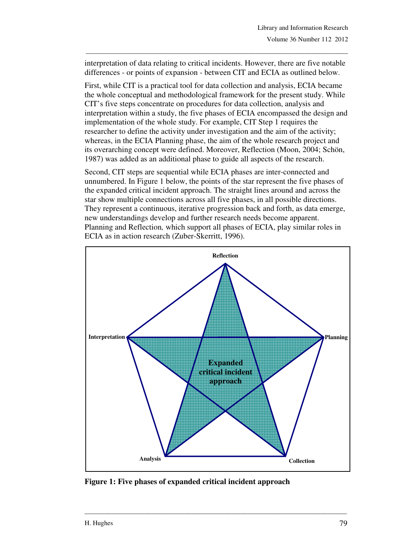interpretation of data relating to critical incidents. However, there are five notable differences - or points of expansion - between CIT and ECIA as outlined below.

\_\_\_\_\_\_\_\_\_\_\_\_\_\_\_\_\_\_\_\_\_\_\_\_\_\_\_\_\_\_\_\_\_\_\_\_\_\_\_\_\_\_\_\_\_\_\_\_\_\_\_\_\_\_\_\_\_\_\_\_\_\_\_\_\_\_\_\_\_\_\_\_\_\_\_\_\_\_\_

First, while CIT is a practical tool for data collection and analysis, ECIA became the whole conceptual and methodological framework for the present study. While CIT's five steps concentrate on procedures for data collection, analysis and interpretation within a study, the five phases of ECIA encompassed the design and implementation of the whole study. For example, CIT Step 1 requires the researcher to define the activity under investigation and the aim of the activity; whereas, in the ECIA Planning phase, the aim of the whole research project and its overarching concept were defined. Moreover, Reflection (Moon, 2004; Schön, 1987) was added as an additional phase to guide all aspects of the research.

Second, CIT steps are sequential while ECIA phases are inter-connected and unnumbered. In Figure 1 below, the points of the star represent the five phases of the expanded critical incident approach. The straight lines around and across the star show multiple connections across all five phases, in all possible directions. They represent a continuous, iterative progression back and forth, as data emerge, new understandings develop and further research needs become apparent. Planning and Reflection*,* which support all phases of ECIA, play similar roles in ECIA as in action research (Zuber-Skerritt, 1996).



**Figure 1: Five phases of expanded critical incident approach**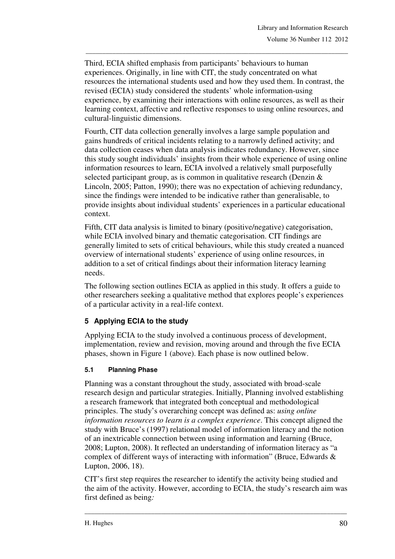Third, ECIA shifted emphasis from participants' behaviours to human experiences. Originally, in line with CIT, the study concentrated on what resources the international students used and how they used them. In contrast, the revised (ECIA) study considered the students' whole information-using experience, by examining their interactions with online resources, as well as their learning context, affective and reflective responses to using online resources, and cultural-linguistic dimensions.

\_\_\_\_\_\_\_\_\_\_\_\_\_\_\_\_\_\_\_\_\_\_\_\_\_\_\_\_\_\_\_\_\_\_\_\_\_\_\_\_\_\_\_\_\_\_\_\_\_\_\_\_\_\_\_\_\_\_\_\_\_\_\_\_\_\_\_\_\_\_\_\_\_\_\_\_\_\_\_

Fourth, CIT data collection generally involves a large sample population and gains hundreds of critical incidents relating to a narrowly defined activity; and data collection ceases when data analysis indicates redundancy. However, since this study sought individuals' insights from their whole experience of using online information resources to learn, ECIA involved a relatively small purposefully selected participant group, as is common in qualitative research (Denzin & Lincoln, 2005; Patton, 1990); there was no expectation of achieving redundancy, since the findings were intended to be indicative rather than generalisable, to provide insights about individual students' experiences in a particular educational context.

Fifth, CIT data analysis is limited to binary (positive/negative) categorisation, while ECIA involved binary and thematic categorisation. CIT findings are generally limited to sets of critical behaviours, while this study created a nuanced overview of international students' experience of using online resources, in addition to a set of critical findings about their information literacy learning needs.

The following section outlines ECIA as applied in this study. It offers a guide to other researchers seeking a qualitative method that explores people's experiences of a particular activity in a real-life context.

# **5 Applying ECIA to the study**

Applying ECIA to the study involved a continuous process of development, implementation, review and revision, moving around and through the five ECIA phases, shown in Figure 1 (above). Each phase is now outlined below.

#### **5.1 Planning Phase**

Planning was a constant throughout the study, associated with broad-scale research design and particular strategies. Initially, Planning involved establishing a research framework that integrated both conceptual and methodological principles. The study's overarching concept was defined as: *using online information resources to learn is a complex experience*. This concept aligned the study with Bruce's (1997) relational model of information literacy and the notion of an inextricable connection between using information and learning (Bruce, 2008; Lupton, 2008). It reflected an understanding of information literacy as "a complex of different ways of interacting with information" (Bruce, Edwards & Lupton, 2006, 18).

CIT's first step requires the researcher to identify the activity being studied and the aim of the activity. However, according to ECIA, the study's research aim was first defined as being*:*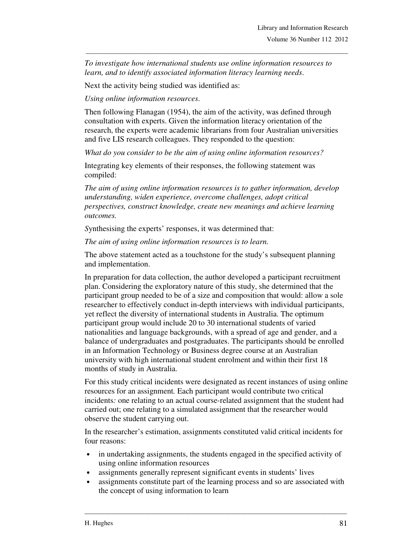*To investigate how international students use online information resources to learn, and to identify associated information literacy learning needs*.

\_\_\_\_\_\_\_\_\_\_\_\_\_\_\_\_\_\_\_\_\_\_\_\_\_\_\_\_\_\_\_\_\_\_\_\_\_\_\_\_\_\_\_\_\_\_\_\_\_\_\_\_\_\_\_\_\_\_\_\_\_\_\_\_\_\_\_\_\_\_\_\_\_\_\_\_\_\_\_

Next the activity being studied was identified as:

*Using online information resources*.

Then following Flanagan (1954), the aim of the activity, was defined through consultation with experts. Given the information literacy orientation of the research, the experts were academic librarians from four Australian universities and five LIS research colleagues. They responded to the question:

*What do you consider to be the aim of using online information resources?*

Integrating key elements of their responses, the following statement was compiled:

*The aim of using online information resources is to gather information, develop understanding, widen experience, overcome challenges, adopt critical perspectives, construct knowledge, create new meanings and achieve learning outcomes.* 

*S*ynthesising the experts' responses, it was determined that:

*The aim of using online information resources is to learn.* 

The above statement acted as a touchstone for the study's subsequent planning and implementation.

In preparation for data collection, the author developed a participant recruitment plan. Considering the exploratory nature of this study, she determined that the participant group needed to be of a size and composition that would: allow a sole researcher to effectively conduct in-depth interviews with individual participants, yet reflect the diversity of international students in Australia. The optimum participant group would include 20 to 30 international students of varied nationalities and language backgrounds, with a spread of age and gender, and a balance of undergraduates and postgraduates. The participants should be enrolled in an Information Technology or Business degree course at an Australian university with high international student enrolment and within their first 18 months of study in Australia.

For this study critical incidents were designated as recent instances of using online resources for an assignment*.* Each participant would contribute two critical incidents*:* one relating to an actual course-related assignment that the student had carried out; one relating to a simulated assignment that the researcher would observe the student carrying out.

In the researcher's estimation, assignments constituted valid critical incidents for four reasons:

- in undertaking assignments, the students engaged in the specified activity of using online information resources
- assignments generally represent significant events in students' lives
- assignments constitute part of the learning process and so are associated with the concept of using information to learn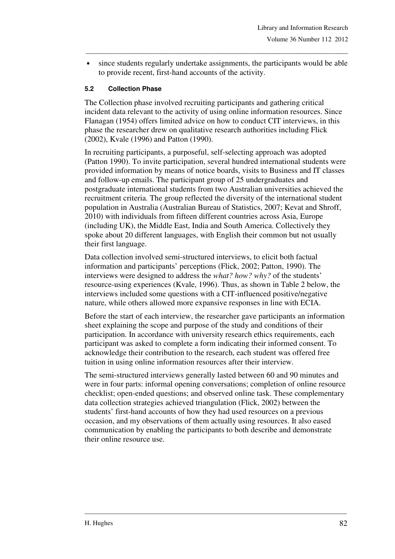• since students regularly undertake assignments, the participants would be able to provide recent, first-hand accounts of the activity.

\_\_\_\_\_\_\_\_\_\_\_\_\_\_\_\_\_\_\_\_\_\_\_\_\_\_\_\_\_\_\_\_\_\_\_\_\_\_\_\_\_\_\_\_\_\_\_\_\_\_\_\_\_\_\_\_\_\_\_\_\_\_\_\_\_\_\_\_\_\_\_\_\_\_\_\_\_\_\_

#### **5.2 Collection Phase**

The Collection phase involved recruiting participants and gathering critical incident data relevant to the activity of using online information resources. Since Flanagan (1954) offers limited advice on how to conduct CIT interviews, in this phase the researcher drew on qualitative research authorities including Flick (2002), Kvale (1996) and Patton (1990).

In recruiting participants, a purposeful, self-selecting approach was adopted (Patton 1990). To invite participation, several hundred international students were provided information by means of notice boards, visits to Business and IT classes and follow-up emails. The participant group of 25 undergraduates and postgraduate international students from two Australian universities achieved the recruitment criteria. The group reflected the diversity of the international student population in Australia (Australian Bureau of Statistics, 2007; Kevat and Shroff, 2010) with individuals from fifteen different countries across Asia, Europe (including UK), the Middle East, India and South America. Collectively they spoke about 20 different languages, with English their common but not usually their first language.

Data collection involved semi-structured interviews, to elicit both factual information and participants' perceptions (Flick, 2002; Patton, 1990). The interviews were designed to address the *what? how? why?* of the students' resource-using experiences (Kvale, 1996). Thus, as shown in Table 2 below, the interviews included some questions with a CIT-influenced positive/negative nature, while others allowed more expansive responses in line with ECIA.

Before the start of each interview, the researcher gave participants an information sheet explaining the scope and purpose of the study and conditions of their participation. In accordance with university research ethics requirements, each participant was asked to complete a form indicating their informed consent. To acknowledge their contribution to the research, each student was offered free tuition in using online information resources after their interview.

The semi-structured interviews generally lasted between 60 and 90 minutes and were in four parts: informal opening conversations; completion of online resource checklist; open-ended questions; and observed online task. These complementary data collection strategies achieved triangulation (Flick, 2002) between the students' first-hand accounts of how they had used resources on a previous occasion, and my observations of them actually using resources. It also eased communication by enabling the participants to both describe and demonstrate their online resource use.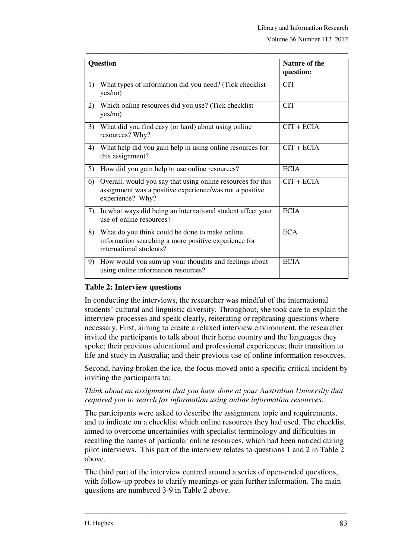| <b>Question</b> |                                                                                                                                            | <b>Nature of the</b><br>question: |  |  |
|-----------------|--------------------------------------------------------------------------------------------------------------------------------------------|-----------------------------------|--|--|
| 1)              | What types of information did you need? (Tick checklist –<br>yes/no)                                                                       | <b>CIT</b>                        |  |  |
| 2)              | Which online resources did you use? (Tick checklist –<br>yes/no)                                                                           | <b>CIT</b>                        |  |  |
| 3)              | What did you find easy (or hard) about using online<br>resources? Why?                                                                     | $CIT + ECHA$                      |  |  |
| 4)              | What help did you gain help in using online resources for<br>this assignment?                                                              | $CIT + ECHA$                      |  |  |
| 5)              | How did you gain help to use online resources?                                                                                             | <b>ECIA</b>                       |  |  |
| 6)              | Overall, would you say that using online resources for this<br>assignment was a positive experience/was not a positive<br>experience? Why? | $CIT + ECHA$                      |  |  |
| 7)              | In what ways did being an international student affect your<br>use of online resources?                                                    | <b>ECIA</b>                       |  |  |
| 8)              | What do you think could be done to make online<br>information searching a more positive experience for<br>international students?          | <b>ECA</b>                        |  |  |
| 9)              | How would you sum up your thoughts and feelings about<br>using online information resources?                                               | <b>ECIA</b>                       |  |  |

\_\_\_\_\_\_\_\_\_\_\_\_\_\_\_\_\_\_\_\_\_\_\_\_\_\_\_\_\_\_\_\_\_\_\_\_\_\_\_\_\_\_\_\_\_\_\_\_\_\_\_\_\_\_\_\_\_\_\_\_\_\_\_\_\_\_\_\_\_\_\_\_\_\_\_\_\_\_\_

#### **Table 2: Interview questions**

In conducting the interviews, the researcher was mindful of the international students' cultural and linguistic diversity. Throughout, she took care to explain the interview processes and speak clearly, reiterating or rephrasing questions where necessary. First, aiming to create a relaxed interview environment, the researcher invited the participants to talk about their home country and the languages they spoke; their previous educational and professional experiences; their transition to life and study in Australia; and their previous use of online information resources.

Second, having broken the ice, the focus moved onto a specific critical incident by inviting the participants to:

*Think about an assignment that you have done at your Australian University that required you to search for information using online information resources.* 

The participants were asked to describe the assignment topic and requirements, and to indicate on a checklist which online resources they had used. The checklist aimed to overcome uncertainties with specialist terminology and difficulties in recalling the names of particular online resources, which had been noticed during pilot interviews. This part of the interview relates to questions 1 and 2 in Table 2 above.

The third part of the interview centred around a series of open-ended questions, with follow-up probes to clarify meanings or gain further information. The main questions are numbered 3-9 in Table 2 above.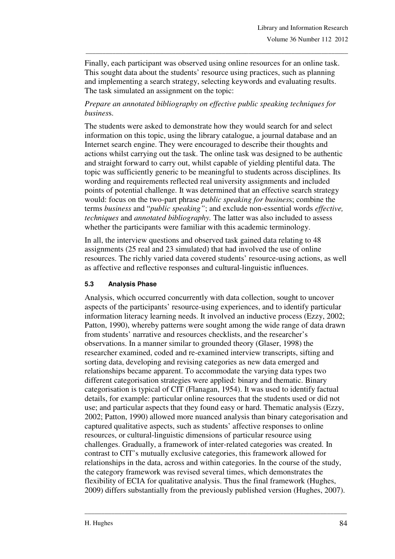Finally, each participant was observed using online resources for an online task. This sought data about the students' resource using practices, such as planning and implementing a search strategy, selecting keywords and evaluating results. The task simulated an assignment on the topic:

\_\_\_\_\_\_\_\_\_\_\_\_\_\_\_\_\_\_\_\_\_\_\_\_\_\_\_\_\_\_\_\_\_\_\_\_\_\_\_\_\_\_\_\_\_\_\_\_\_\_\_\_\_\_\_\_\_\_\_\_\_\_\_\_\_\_\_\_\_\_\_\_\_\_\_\_\_\_\_

## *Prepare an annotated bibliography on effective public speaking techniques for busines*s.

The students were asked to demonstrate how they would search for and select information on this topic, using the library catalogue, a journal database and an Internet search engine. They were encouraged to describe their thoughts and actions whilst carrying out the task. The online task was designed to be authentic and straight forward to carry out, whilst capable of yielding plentiful data. The topic was sufficiently generic to be meaningful to students across disciplines. Its wording and requirements reflected real university assignments and included points of potential challenge. It was determined that an effective search strategy would: focus on the two-part phrase *public speaking for busines*s; combine the terms *business* and "*public speaking"*; and exclude non-essential words *effective, techniques* and *annotated bibliography.* The latter was also included to assess whether the participants were familiar with this academic terminology.

In all, the interview questions and observed task gained data relating to 48 assignments (25 real and 23 simulated) that had involved the use of online resources. The richly varied data covered students' resource-using actions, as well as affective and reflective responses and cultural-linguistic influences.

#### **5.3 Analysis Phase**

Analysis, which occurred concurrently with data collection, sought to uncover aspects of the participants' resource-using experiences, and to identify particular information literacy learning needs. It involved an inductive process (Ezzy, 2002; Patton, 1990), whereby patterns were sought among the wide range of data drawn from students' narrative and resources checklists, and the researcher's observations. In a manner similar to grounded theory (Glaser, 1998) the researcher examined, coded and re-examined interview transcripts, sifting and sorting data, developing and revising categories as new data emerged and relationships became apparent. To accommodate the varying data types two different categorisation strategies were applied: binary and thematic. Binary categorisation is typical of CIT (Flanagan, 1954). It was used to identify factual details, for example: particular online resources that the students used or did not use; and particular aspects that they found easy or hard. Thematic analysis (Ezzy, 2002; Patton, 1990) allowed more nuanced analysis than binary categorisation and captured qualitative aspects, such as students' affective responses to online resources, or cultural-linguistic dimensions of particular resource using challenges. Gradually, a framework of inter-related categories was created. In contrast to CIT's mutually exclusive categories, this framework allowed for relationships in the data, across and within categories. In the course of the study, the category framework was revised several times, which demonstrates the flexibility of ECIA for qualitative analysis. Thus the final framework (Hughes, 2009) differs substantially from the previously published version (Hughes, 2007).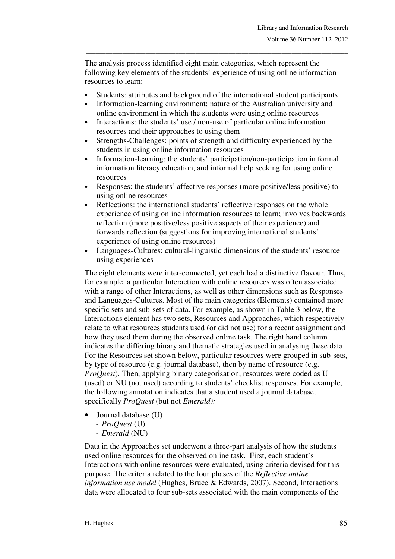The analysis process identified eight main categories, which represent the following key elements of the students' experience of using online information resources to learn:

\_\_\_\_\_\_\_\_\_\_\_\_\_\_\_\_\_\_\_\_\_\_\_\_\_\_\_\_\_\_\_\_\_\_\_\_\_\_\_\_\_\_\_\_\_\_\_\_\_\_\_\_\_\_\_\_\_\_\_\_\_\_\_\_\_\_\_\_\_\_\_\_\_\_\_\_\_\_\_

- Students: attributes and background of the international student participants
- Information-learning environment: nature of the Australian university and online environment in which the students were using online resources
- Interactions: the students' use / non-use of particular online information resources and their approaches to using them
- Strengths-Challenges: points of strength and difficulty experienced by the students in using online information resources
- Information-learning: the students' participation/non-participation in formal information literacy education, and informal help seeking for using online resources
- Responses: the students' affective responses (more positive/less positive) to using online resources
- Reflections: the international students' reflective responses on the whole experience of using online information resources to learn; involves backwards reflection (more positive/less positive aspects of their experience) and forwards reflection (suggestions for improving international students' experience of using online resources)
- Languages-Cultures: cultural-linguistic dimensions of the students' resource using experiences

The eight elements were inter-connected, yet each had a distinctive flavour. Thus, for example, a particular Interaction with online resources was often associated with a range of other Interactions, as well as other dimensions such as Responses and Languages-Cultures. Most of the main categories (Elements) contained more specific sets and sub-sets of data. For example, as shown in Table 3 below, the Interactions element has two sets, Resources and Approaches, which respectively relate to what resources students used (or did not use) for a recent assignment and how they used them during the observed online task. The right hand column indicates the differing binary and thematic strategies used in analysing these data. For the Resources set shown below, particular resources were grouped in sub-sets, by type of resource (e.g. journal database), then by name of resource (e.g. *ProQuest*). Then, applying binary categorisation, resources were coded as U (used) or NU (not used) according to students' checklist responses. For example, the following annotation indicates that a student used a journal database, specifically *ProQuest* (but not *Emerald):* 

- Journal database (U)
	- *ProQuest* (U)
	- *Emerald* (NU)

Data in the Approaches set underwent a three-part analysis of how the students used online resources for the observed online task. First, each student's Interactions with online resources were evaluated, using criteria devised for this purpose. The criteria related to the four phases of the *Reflective online information use model* (Hughes, Bruce & Edwards, 2007). Second, Interactions data were allocated to four sub-sets associated with the main components of the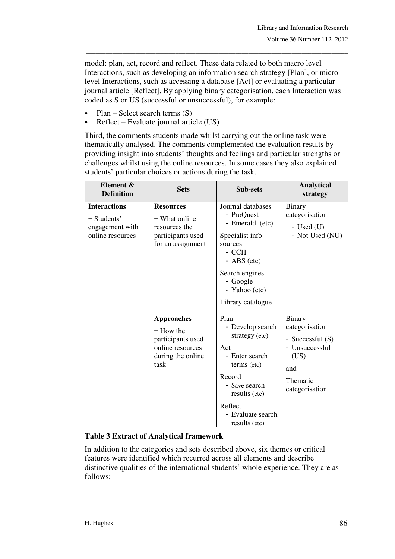model: plan, act, record and reflect. These data related to both macro level Interactions, such as developing an information search strategy [Plan], or micro level Interactions, such as accessing a database [Act] or evaluating a particular journal article [Reflect]. By applying binary categorisation, each Interaction was coded as S or US (successful or unsuccessful), for example:

\_\_\_\_\_\_\_\_\_\_\_\_\_\_\_\_\_\_\_\_\_\_\_\_\_\_\_\_\_\_\_\_\_\_\_\_\_\_\_\_\_\_\_\_\_\_\_\_\_\_\_\_\_\_\_\_\_\_\_\_\_\_\_\_\_\_\_\_\_\_\_\_\_\_\_\_\_\_\_

- Plan Select search terms  $(S)$
- Reflect Evaluate journal article (US)

Third, the comments students made whilst carrying out the online task were thematically analysed. The comments complemented the evaluation results by providing insight into students' thoughts and feelings and particular strengths or challenges whilst using the online resources. In some cases they also explained students' particular choices or actions during the task.

| Element &<br><b>Definition</b>                                              | <b>Sets</b>                                                                                            | Sub-sets                                                                                                                                                                        | <b>Analytical</b><br>strategy                                                                                      |
|-----------------------------------------------------------------------------|--------------------------------------------------------------------------------------------------------|---------------------------------------------------------------------------------------------------------------------------------------------------------------------------------|--------------------------------------------------------------------------------------------------------------------|
| <b>Interactions</b><br>$=$ Students'<br>engagement with<br>online resources | <b>Resources</b><br>$=$ What online<br>resources the<br>participants used<br>for an assignment         | Journal databases<br>- ProQuest<br>- Emerald (etc)<br>Specialist info<br>sources<br>- CCH<br>$-$ ABS (etc)<br>Search engines<br>- Google<br>- Yahoo (etc)<br>Library catalogue  | Binary<br>categorisation:<br>- Used $(U)$<br>- Not Used (NU)                                                       |
|                                                                             | <b>Approaches</b><br>$=$ How the<br>participants used<br>online resources<br>during the online<br>task | Plan<br>- Develop search<br>strategy (etc)<br>Act<br>- Enter search<br>terms (etc)<br>Record<br>- Save search<br>results (etc)<br>Reflect<br>- Evaluate search<br>results (etc) | <b>Binary</b><br>categorisation<br>- Successful (S)<br>- Unsuccessful<br>(US)<br>and<br>Thematic<br>categorisation |

#### **Table 3 Extract of Analytical framework**

In addition to the categories and sets described above, six themes or critical features were identified which recurred across all elements and describe distinctive qualities of the international students' whole experience. They are as follows: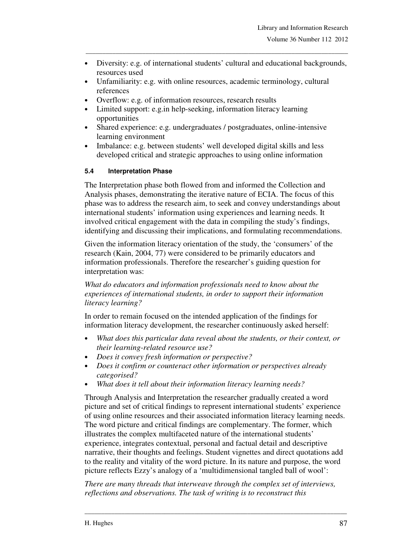• Diversity: e.g. of international students' cultural and educational backgrounds, resources used

\_\_\_\_\_\_\_\_\_\_\_\_\_\_\_\_\_\_\_\_\_\_\_\_\_\_\_\_\_\_\_\_\_\_\_\_\_\_\_\_\_\_\_\_\_\_\_\_\_\_\_\_\_\_\_\_\_\_\_\_\_\_\_\_\_\_\_\_\_\_\_\_\_\_\_\_\_\_\_

- Unfamiliarity: e.g. with online resources, academic terminology, cultural references
- Overflow: e.g. of information resources, research results
- Limited support: e.g.in help-seeking, information literacy learning opportunities
- Shared experience: e.g. undergraduates / postgraduates, online-intensive learning environment
- Imbalance: e.g. between students' well developed digital skills and less developed critical and strategic approaches to using online information

#### **5.4 Interpretation Phase**

The Interpretation phase both flowed from and informed the Collection and Analysis phases, demonstrating the iterative nature of ECIA. The focus of this phase was to address the research aim, to seek and convey understandings about international students' information using experiences and learning needs. It involved critical engagement with the data in compiling the study's findings, identifying and discussing their implications, and formulating recommendations.

Given the information literacy orientation of the study, the 'consumers' of the research (Kain, 2004, 77) were considered to be primarily educators and information professionals. Therefore the researcher's guiding question for interpretation was:

*What do educators and information professionals need to know about the experiences of international students, in order to support their information literacy learning?* 

In order to remain focused on the intended application of the findings for information literacy development, the researcher continuously asked herself:

- *What does this particular data reveal about the students, or their context, or their learning-related resource use?*
- *Does it convey fresh information or perspective?*
- *Does it confirm or counteract other information or perspectives already categorised?*
- *What does it tell about their information literacy learning needs?*

Through Analysis and Interpretation the researcher gradually created a word picture and set of critical findings to represent international students' experience of using online resources and their associated information literacy learning needs. The word picture and critical findings are complementary. The former, which illustrates the complex multifaceted nature of the international students' experience, integrates contextual, personal and factual detail and descriptive narrative, their thoughts and feelings. Student vignettes and direct quotations add to the reality and vitality of the word picture. In its nature and purpose, the word picture reflects Ezzy's analogy of a 'multidimensional tangled ball of wool':

*There are many threads that interweave through the complex set of interviews, reflections and observations. The task of writing is to reconstruct this*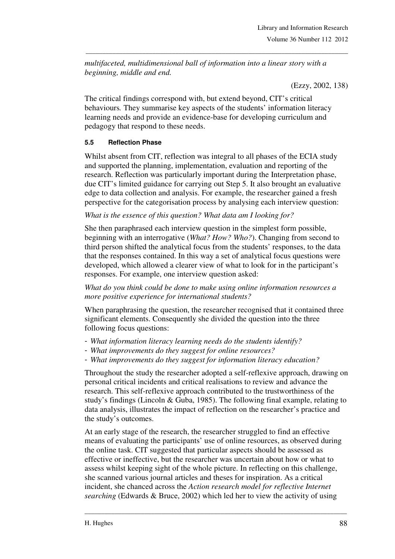*multifaceted, multidimensional ball of information into a linear story with a beginning, middle and end.* 

\_\_\_\_\_\_\_\_\_\_\_\_\_\_\_\_\_\_\_\_\_\_\_\_\_\_\_\_\_\_\_\_\_\_\_\_\_\_\_\_\_\_\_\_\_\_\_\_\_\_\_\_\_\_\_\_\_\_\_\_\_\_\_\_\_\_\_\_\_\_\_\_\_\_\_\_\_\_\_

(Ezzy, 2002, 138)

The critical findings correspond with, but extend beyond, CIT's critical behaviours*.* They summarise key aspects of the students' information literacy learning needs and provide an evidence-base for developing curriculum and pedagogy that respond to these needs.

#### **5.5 Reflection Phase**

Whilst absent from CIT, reflection was integral to all phases of the ECIA study and supported the planning, implementation, evaluation and reporting of the research. Reflection was particularly important during the Interpretation phase, due CIT's limited guidance for carrying out Step 5. It also brought an evaluative edge to data collection and analysis. For example, the researcher gained a fresh perspective for the categorisation process by analysing each interview question:

#### *What is the essence of this question? What data am I looking for?*

She then paraphrased each interview question in the simplest form possible, beginning with an interrogative (*What? How? Who?*). Changing from second to third person shifted the analytical focus from the students' responses, to the data that the responses contained. In this way a set of analytical focus questions were developed, which allowed a clearer view of what to look for in the participant's responses. For example, one interview question asked:

*What do you think could be done to make using online information resources a more positive experience for international students?* 

When paraphrasing the question, the researcher recognised that it contained three significant elements. Consequently she divided the question into the three following focus questions:

- *What information literacy learning needs do the students identify?*
- *What improvements do they suggest for online resources?*
- *What improvements do they suggest for information literacy education?*

Throughout the study the researcher adopted a self-reflexive approach, drawing on personal critical incidents and critical realisations to review and advance the research. This self-reflexive approach contributed to the trustworthiness of the study's findings (Lincoln & Guba, 1985). The following final example, relating to data analysis, illustrates the impact of reflection on the researcher's practice and the study's outcomes.

At an early stage of the research, the researcher struggled to find an effective means of evaluating the participants' use of online resources, as observed during the online task. CIT suggested that particular aspects should be assessed as effective or ineffective, but the researcher was uncertain about how or what to assess whilst keeping sight of the whole picture. In reflecting on this challenge, she scanned various journal articles and theses for inspiration. As a critical incident, she chanced across the *Action research model for reflective Internet searching* (Edwards & Bruce, 2002) which led her to view the activity of using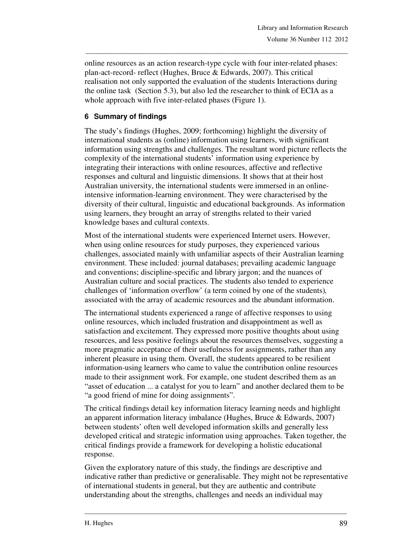online resources as an action research-type cycle with four inter-related phases: plan-act-record- reflect (Hughes, Bruce & Edwards, 2007). This critical realisation not only supported the evaluation of the students Interactions during the online task (Section 5.3), but also led the researcher to think of ECIA as a whole approach with five inter-related phases (Figure 1).

\_\_\_\_\_\_\_\_\_\_\_\_\_\_\_\_\_\_\_\_\_\_\_\_\_\_\_\_\_\_\_\_\_\_\_\_\_\_\_\_\_\_\_\_\_\_\_\_\_\_\_\_\_\_\_\_\_\_\_\_\_\_\_\_\_\_\_\_\_\_\_\_\_\_\_\_\_\_\_

## **6 Summary of findings**

The study's findings (Hughes, 2009; forthcoming) highlight the diversity of international students as (online) information using learners, with significant information using strengths and challenges. The resultant word picture reflects the complexity of the international students' information using experience by integrating their interactions with online resources, affective and reflective responses and cultural and linguistic dimensions. It shows that at their host Australian university, the international students were immersed in an onlineintensive information-learning environment. They were characterised by the diversity of their cultural, linguistic and educational backgrounds. As information using learners, they brought an array of strengths related to their varied knowledge bases and cultural contexts.

Most of the international students were experienced Internet users. However, when using online resources for study purposes, they experienced various challenges, associated mainly with unfamiliar aspects of their Australian learning environment. These included: journal databases; prevailing academic language and conventions; discipline-specific and library jargon; and the nuances of Australian culture and social practices. The students also tended to experience challenges of 'information overflow' (a term coined by one of the students)*,*  associated with the array of academic resources and the abundant information.

The international students experienced a range of affective responses to using online resources, which included frustration and disappointment as well as satisfaction and excitement. They expressed more positive thoughts about using resources, and less positive feelings about the resources themselves, suggesting a more pragmatic acceptance of their usefulness for assignments, rather than any inherent pleasure in using them. Overall, the students appeared to be resilient information-using learners who came to value the contribution online resources made to their assignment work. For example, one student described them as an "asset of education ... a catalyst for you to learn" and another declared them to be "a good friend of mine for doing assignments".

The critical findings detail key information literacy learning needs and highlight an apparent information literacy imbalance (Hughes, Bruce & Edwards, 2007) between students' often well developed information skills and generally less developed critical and strategic information using approaches. Taken together, the critical findings provide a framework for developing a holistic educational response.

Given the exploratory nature of this study, the findings are descriptive and indicative rather than predictive or generalisable. They might not be representative of international students in general, but they are authentic and contribute understanding about the strengths, challenges and needs an individual may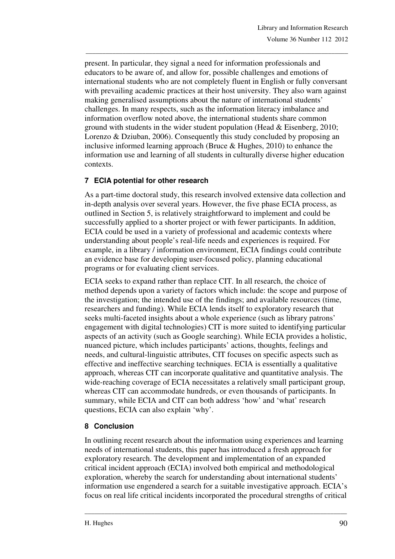present. In particular, they signal a need for information professionals and educators to be aware of, and allow for, possible challenges and emotions of international students who are not completely fluent in English or fully conversant with prevailing academic practices at their host university. They also warn against making generalised assumptions about the nature of international students' challenges. In many respects, such as the information literacy imbalance and information overflow noted above, the international students share common ground with students in the wider student population (Head & Eisenberg, 2010; Lorenzo & Dziuban, 2006). Consequently this study concluded by proposing an inclusive informed learning approach (Bruce & Hughes, 2010) to enhance the information use and learning of all students in culturally diverse higher education contexts.

\_\_\_\_\_\_\_\_\_\_\_\_\_\_\_\_\_\_\_\_\_\_\_\_\_\_\_\_\_\_\_\_\_\_\_\_\_\_\_\_\_\_\_\_\_\_\_\_\_\_\_\_\_\_\_\_\_\_\_\_\_\_\_\_\_\_\_\_\_\_\_\_\_\_\_\_\_\_\_

## **7 ECIA potential for other research**

As a part-time doctoral study, this research involved extensive data collection and in-depth analysis over several years. However, the five phase ECIA process, as outlined in Section 5, is relatively straightforward to implement and could be successfully applied to a shorter project or with fewer participants. In addition, ECIA could be used in a variety of professional and academic contexts where understanding about people's real-life needs and experiences is required. For example, in a library / information environment, ECIA findings could contribute an evidence base for developing user-focused policy, planning educational programs or for evaluating client services.

ECIA seeks to expand rather than replace CIT. In all research, the choice of method depends upon a variety of factors which include: the scope and purpose of the investigation; the intended use of the findings; and available resources (time, researchers and funding). While ECIA lends itself to exploratory research that seeks multi-faceted insights about a whole experience (such as library patrons' engagement with digital technologies) CIT is more suited to identifying particular aspects of an activity (such as Google searching). While ECIA provides a holistic, nuanced picture, which includes participants' actions, thoughts, feelings and needs, and cultural-linguistic attributes, CIT focuses on specific aspects such as effective and ineffective searching techniques. ECIA is essentially a qualitative approach, whereas CIT can incorporate qualitative and quantitative analysis. The wide-reaching coverage of ECIA necessitates a relatively small participant group, whereas CIT can accommodate hundreds, or even thousands of participants. In summary, while ECIA and CIT can both address 'how' and 'what' research questions, ECIA can also explain 'why'.

#### **8 Conclusion**

In outlining recent research about the information using experiences and learning needs of international students, this paper has introduced a fresh approach for exploratory research. The development and implementation of an expanded critical incident approach (ECIA) involved both empirical and methodological exploration, whereby the search for understanding about international students' information use engendered a search for a suitable investigative approach. ECIA's focus on real life critical incidents incorporated the procedural strengths of critical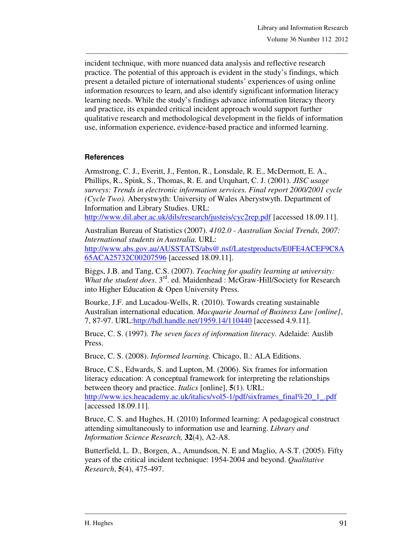incident technique, with more nuanced data analysis and reflective research practice. The potential of this approach is evident in the study's findings, which present a detailed picture of international students' experiences of using online information resources to learn, and also identify significant information literacy learning needs. While the study's findings advance information literacy theory and practice, its expanded critical incident approach would support further qualitative research and methodological development in the fields of information use, information experience, evidence-based practice and informed learning.

\_\_\_\_\_\_\_\_\_\_\_\_\_\_\_\_\_\_\_\_\_\_\_\_\_\_\_\_\_\_\_\_\_\_\_\_\_\_\_\_\_\_\_\_\_\_\_\_\_\_\_\_\_\_\_\_\_\_\_\_\_\_\_\_\_\_\_\_\_\_\_\_\_\_\_\_\_\_\_

### **References**

Armstrong, C. J., Everitt, J., Fenton, R., Lonsdale, R. E., McDermott, E. A., Phillips, R., Spink, S., Thomas, R. E. and Urquhart, C. J. (2001). *JISC usage surveys: Trends in electronic information services. Final report 2000/2001 cycle (Cycle Two).* Aberystwyth: University of Wales Aberystwyth. Department of Information and Library Studies. URL:

http://www.dil.aber.ac.uk/dils/research/justeis/cyc2rep.pdf [accessed 18.09.11].

Australian Bureau of Statistics (2007). *4102.0 - Australian Social Trends, 2007: International students in Australia.* URL: http://www.abs.gov.au/AUSSTATS/abs@.nsf/Latestproducts/E0FE4ACEF9C8A

65ACA25732C00207596 [accessed 18.09.11].

Biggs, J.B. and Tang, C.S. (2007). *Teaching for quality learning at university: What the student does.* 3<sup>rd</sup>. ed. Maidenhead : McGraw-Hill/Society for Research into Higher Education & Open University Press.

Bourke, J.F. and Lucadou-Wells, R. (2010). Towards creating sustainable Australian international education. *Macquarie Journal of Business Law [online]*, 7, 87-97. URL:http://hdl.handle.net/1959.14/110440 [accessed 4.9.11].

Bruce, C. S. (1997). *The seven faces of information literacy.* Adelaide: Auslib Press.

Bruce, C. S. (2008). *Informed learning.* Chicago, Il.: ALA Editions.

Bruce, C.S., Edwards, S. and Lupton, M. (2006). Six frames for information literacy education: A conceptual framework for interpreting the relationships between theory and practice. *Italics* [online], **5**(1). URL: http://www.ics.heacademy.ac.uk/italics/vol5-1/pdf/sixframes\_final%20\_1\_.pdf [accessed 18.09.11].

Bruce, C. S. and Hughes, H. (2010) Informed learning: A pedagogical construct attending simultaneously to information use and learning. *Library and Information Science Research,* **32**(4), A2-A8.

Butterfield, L. D., Borgen, A., Amundson, N. E and Maglio, A-S.T. (2005). Fifty years of the critical incident technique: 1954-2004 and beyond. *Qualitative Research*, **5**(4), 475-497.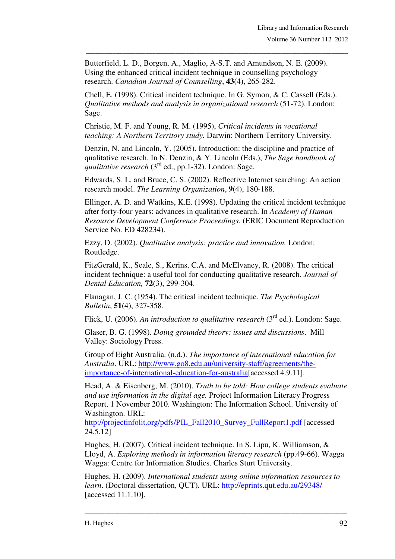Butterfield, L. D., Borgen, A., Maglio, A-S.T. and Amundson, N. E. (2009). Using the enhanced critical incident technique in counselling psychology research. *Canadian Journal of Counselling*, **43**(4), 265-282.

\_\_\_\_\_\_\_\_\_\_\_\_\_\_\_\_\_\_\_\_\_\_\_\_\_\_\_\_\_\_\_\_\_\_\_\_\_\_\_\_\_\_\_\_\_\_\_\_\_\_\_\_\_\_\_\_\_\_\_\_\_\_\_\_\_\_\_\_\_\_\_\_\_\_\_\_\_\_\_

Chell, E. (1998). Critical incident technique. In G. Symon, & C. Cassell (Eds.). *Qualitative methods and analysis in organizational research* (51-72). London: Sage.

Christie, M. F. and Young, R. M. (1995), *Critical incidents in vocational teaching: A Northern Territory study.* Darwin: Northern Territory University.

Denzin, N. and Lincoln, Y. (2005). Introduction: the discipline and practice of qualitative research. In N. Denzin, & Y. Lincoln (Eds.), *The Sage handbook of qualitative research* (3<sup>rd</sup> ed., pp.1-32). London: Sage.

Edwards, S. L. and Bruce, C. S. (2002). Reflective Internet searching: An action research model. *The Learning Organization*, **9**(4), 180-188.

Ellinger, A. D. and Watkins, K.E. (1998). Updating the critical incident technique after forty-four years: advances in qualitative research. In *Academy of Human Resource Development Conference Proceedings*. (ERIC Document Reproduction Service No. ED 428234).

Ezzy, D. (2002). *Qualitative analysis: practice and innovation.* London: Routledge.

FitzGerald, K., Seale, S., Kerins, C.A. and McElvaney, R. (2008). The critical incident technique: a useful tool for conducting qualitative research. *Journal of Dental Education,* **72**(3), 299-304.

Flanagan, J. C. (1954). The critical incident technique. *The Psychological Bulletin*, **51**(4), 327-358*.* 

Flick, U. (2006). An introduction to qualitative research (3<sup>rd</sup> ed.). London: Sage.

Glaser, B. G. (1998). *Doing grounded theory: issues and discussions*. Mill Valley: Sociology Press.

Group of Eight Australia. (n.d.). *The importance of international education for Australia*. URL: http://www.go8.edu.au/university-staff/agreements/theimportance-of-international-education-for-australia[accessed 4.9.11].

Head, A. & Eisenberg, M. (2010). *Truth to be told: How college students evaluate and use information in the digital age.* Project Information Literacy Progress Report, 1 November 2010. Washington: The Information School. University of Washington. URL:

http://projectinfolit.org/pdfs/PIL\_Fall2010\_Survey\_FullReport1.pdf [accessed 24.5.12]

Hughes, H. (2007), Critical incident technique. In S. Lipu, K. Williamson, & Lloyd, A. *Exploring methods in information literacy research* (pp.49-66). Wagga Wagga: Centre for Information Studies. Charles Sturt University.

Hughes, H. (2009). *International students using online information resources to learn*. (Doctoral dissertation, QUT). URL: http://eprints.qut.edu.au/29348/ [accessed 11.1.10].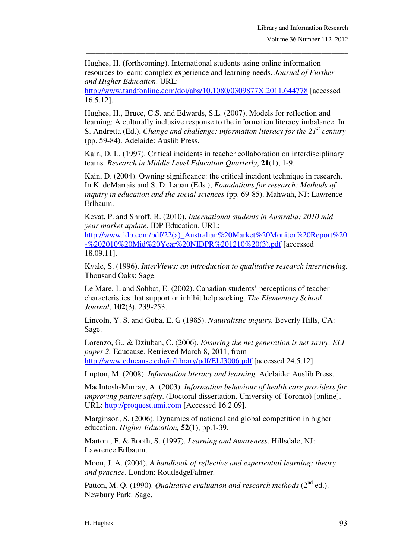Hughes, H. (forthcoming). International students using online information resources to learn: complex experience and learning needs. *Journal of Further and Higher Education*. URL:

\_\_\_\_\_\_\_\_\_\_\_\_\_\_\_\_\_\_\_\_\_\_\_\_\_\_\_\_\_\_\_\_\_\_\_\_\_\_\_\_\_\_\_\_\_\_\_\_\_\_\_\_\_\_\_\_\_\_\_\_\_\_\_\_\_\_\_\_\_\_\_\_\_\_\_\_\_\_\_

http://www.tandfonline.com/doi/abs/10.1080/0309877X.2011.644778 [accessed 16.5.12].

Hughes, H., Bruce, C.S. and Edwards, S.L. (2007). Models for reflection and learning: A culturally inclusive response to the information literacy imbalance. In S. Andretta (Ed.), *Change and challenge: information literacy for the 21st century* (pp. 59-84). Adelaide: Auslib Press.

Kain, D. L. (1997). Critical incidents in teacher collaboration on interdisciplinary teams. *Research in Middle Level Education Quarterly*, **21**(1), 1-9.

Kain, D. (2004). Owning significance: the critical incident technique in research. In K. deMarrais and S. D. Lapan (Eds.), *Foundations for research: Methods of inquiry in education and the social sciences* (pp. 69-85). Mahwah, NJ: Lawrence Erlbaum.

Kevat, P. and Shroff, R. (2010). *International students in Australia: 2010 mid year market update*. IDP Education. URL:

http://www.idp.com/pdf/22(a)\_Australian%20Market%20Monitor%20Report%20 -%202010%20Mid%20Year%20NIDPR%201210%20(3).pdf [accessed 18.09.11].

Kvale, S. (1996). *InterViews: an introduction to qualitative research interviewing.*  Thousand Oaks: Sage.

Le Mare, L and Sohbat, E. (2002). Canadian students' perceptions of teacher characteristics that support or inhibit help seeking. *The Elementary School Journal*, **102**(3), 239-253.

Lincoln, Y. S. and Guba, E. G (1985). *Naturalistic inquiry.* Beverly Hills, CA: Sage.

Lorenzo, G., & Dziuban, C. (2006). *Ensuring the net generation is net savvy. ELI paper 2.* Educause. Retrieved March 8, 2011, from http://www.educause.edu/ir/library/pdf/ELI3006.pdf [accessed 24.5.12]

Lupton, M. (2008). *Information literacy and learning*. Adelaide: Auslib Press.

MacIntosh-Murray, A. (2003). *Information behaviour of health care providers for improving patient safety*. (Doctoral dissertation, University of Toronto) [online]. URL: http://proquest.umi.com [Accessed 16.2.09].

Marginson, S. (2006). Dynamics of national and global competition in higher education. *Higher Education,* **52**(1), pp.1-39.

Marton , F. & Booth, S. (1997). *Learning and Awareness*. Hillsdale, NJ: Lawrence Erlbaum.

Moon, J. A. (2004). *A handbook of reflective and experiential learning: theory and practice*. London: RoutledgeFalmer.

Patton, M. Q. (1990). *Qualitative evaluation and research methods* (2<sup>nd</sup> ed.). Newbury Park: Sage.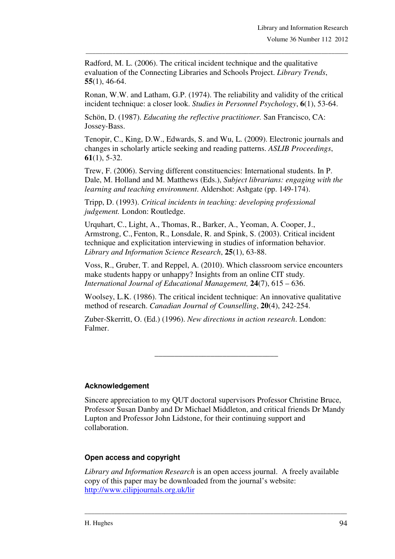Radford, M. L. (2006). The critical incident technique and the qualitative evaluation of the Connecting Libraries and Schools Project. *Library Trends*, **55**(1), 46-64.

Ronan, W.W. and Latham, G.P. (1974). The reliability and validity of the critical incident technique: a closer look. *Studies in Personnel Psychology*, **6**(1), 53-64.

\_\_\_\_\_\_\_\_\_\_\_\_\_\_\_\_\_\_\_\_\_\_\_\_\_\_\_\_\_\_\_\_\_\_\_\_\_\_\_\_\_\_\_\_\_\_\_\_\_\_\_\_\_\_\_\_\_\_\_\_\_\_\_\_\_\_\_\_\_\_\_\_\_\_\_\_\_\_\_

Schön, D. (1987). *Educating the reflective practitioner.* San Francisco, CA: Jossey-Bass.

Tenopir, C., King, D.W., Edwards, S. and Wu, L. (2009). Electronic journals and changes in scholarly article seeking and reading patterns. *ASLIB Proceedings*, **61**(1), 5-32.

Trew, F. (2006). Serving different constituencies: International students. In P. Dale, M. Holland and M. Matthews (Eds.), *Subject librarians: engaging with the learning and teaching environment*. Aldershot: Ashgate (pp. 149-174).

Tripp, D. (1993). *Critical incidents in teaching: developing professional judgement.* London: Routledge.

Urquhart, C., Light, A., Thomas, R., Barker, A., Yeoman, A. Cooper, J., Armstrong, C., Fenton, R., Lonsdale, R. and Spink, S. (2003). Critical incident technique and explicitation interviewing in studies of information behavior. *Library and Information Science Research*, **25**(1), 63-88.

Voss, R., Gruber, T. and Reppel, A. (2010). Which classroom service encounters make students happy or unhappy? Insights from an online CIT study*. International Journal of Educational Management,* **24**(7), 615 – 636.

Woolsey, L.K. (1986). The critical incident technique: An innovative qualitative method of research. *Canadian Journal of Counselling*, **20**(4), 242-254.

Zuber-Skerritt, O. (Ed.) (1996). *New directions in action research*. London: Falmer.

#### **Acknowledgement**

Sincere appreciation to my QUT doctoral supervisors Professor Christine Bruce, Professor Susan Danby and Dr Michael Middleton, and critical friends Dr Mandy Lupton and Professor John Lidstone, for their continuing support and collaboration.

\_\_\_\_\_\_\_\_\_\_\_\_\_\_\_\_\_\_\_\_\_\_\_\_\_\_\_\_\_\_\_

#### **Open access and copyright**

*Library and Information Research* is an open access journal. A freely available copy of this paper may be downloaded from the journal's website: http://www.cilipjournals.org.uk/lir